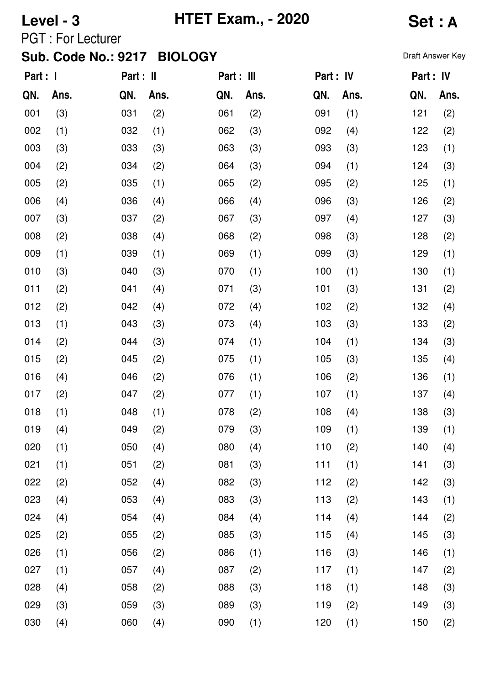# **Level - 3 HTET Exam., - 2020 Set : A**

PGT : For Lecturer

| Part : 1 |      | Part : II |      | Part : III |      | Part : IV |      | Part : IV |      |
|----------|------|-----------|------|------------|------|-----------|------|-----------|------|
| QN.      | Ans. | QN.       | Ans. | QN.        | Ans. | QN.       | Ans. | QN.       | Ans. |
| 001      | (3)  | 031       | (2)  | 061        | (2)  | 091       | (1)  | 121       | (2)  |
| 002      | (1)  | 032       | (1)  | 062        | (3)  | 092       | (4)  | 122       | (2)  |
| 003      | (3)  | 033       | (3)  | 063        | (3)  | 093       | (3)  | 123       | (1)  |
| 004      | (2)  | 034       | (2)  | 064        | (3)  | 094       | (1)  | 124       | (3)  |
| 005      | (2)  | 035       | (1)  | 065        | (2)  | 095       | (2)  | 125       | (1)  |
| 006      | (4)  | 036       | (4)  | 066        | (4)  | 096       | (3)  | 126       | (2)  |
| 007      | (3)  | 037       | (2)  | 067        | (3)  | 097       | (4)  | 127       | (3)  |
| 008      | (2)  | 038       | (4)  | 068        | (2)  | 098       | (3)  | 128       | (2)  |
| 009      | (1)  | 039       | (1)  | 069        | (1)  | 099       | (3)  | 129       | (1)  |
| 010      | (3)  | 040       | (3)  | 070        | (1)  | 100       | (1)  | 130       | (1)  |
| 011      | (2)  | 041       | (4)  | 071        | (3)  | 101       | (3)  | 131       | (2)  |
| 012      | (2)  | 042       | (4)  | 072        | (4)  | 102       | (2)  | 132       | (4)  |
| 013      | (1)  | 043       | (3)  | 073        | (4)  | 103       | (3)  | 133       | (2)  |
| 014      | (2)  | 044       | (3)  | 074        | (1)  | 104       | (1)  | 134       | (3)  |
| 015      | (2)  | 045       | (2)  | 075        | (1)  | 105       | (3)  | 135       | (4)  |
| 016      | (4)  | 046       | (2)  | 076        | (1)  | 106       | (2)  | 136       | (1)  |
| 017      | (2)  | 047       | (2)  | 077        | (1)  | 107       | (1)  | 137       | (4)  |
| 018      | (1)  | 048       | (1)  | 078        | (2)  | 108       | (4)  | 138       | (3)  |
| 019      | (4)  | 049       | (2)  | 079        | (3)  | 109       | (1)  | 139       | (1)  |
| 020      | (1)  | 050       | (4)  | 080        | (4)  | 110       | (2)  | 140       | (4)  |
| 021      | (1)  | 051       | (2)  | 081        | (3)  | 111       | (1)  | 141       | (3)  |
| 022      | (2)  | 052       | (4)  | 082        | (3)  | 112       | (2)  | 142       | (3)  |
| 023      | (4)  | 053       | (4)  | 083        | (3)  | 113       | (2)  | 143       | (1)  |
| 024      | (4)  | 054       | (4)  | 084        | (4)  | 114       | (4)  | 144       | (2)  |
| 025      | (2)  | 055       | (2)  | 085        | (3)  | 115       | (4)  | 145       | (3)  |
| 026      | (1)  | 056       | (2)  | 086        | (1)  | 116       | (3)  | 146       | (1)  |
| 027      | (1)  | 057       | (4)  | 087        | (2)  | 117       | (1)  | 147       | (2)  |
| 028      | (4)  | 058       | (2)  | 088        | (3)  | 118       | (1)  | 148       | (3)  |
| 029      | (3)  | 059       | (3)  | 089        | (3)  | 119       | (2)  | 149       | (3)  |
| 030      | (4)  | 060       | (4)  | 090        | (1)  | 120       | (1)  | 150       | (2)  |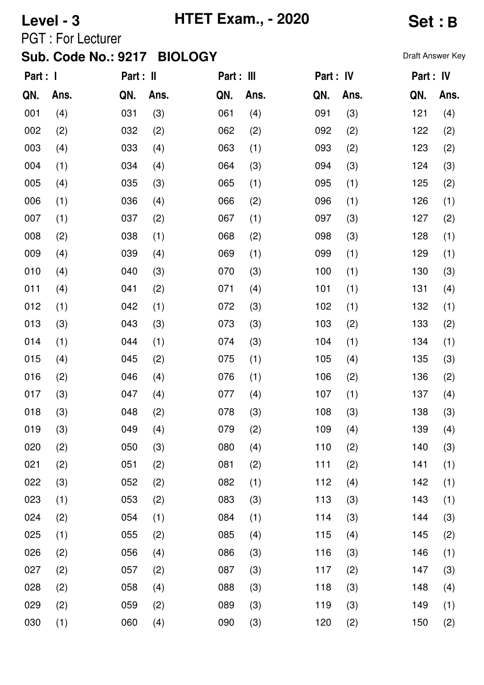# **Level - 3 HTET Exam., - 2020 Set : B**

PGT : For Lecturer

| Part : I |      | Part : II |      | Part : III |      | Part : IV |      | Part : IV |      |
|----------|------|-----------|------|------------|------|-----------|------|-----------|------|
| QN.      | Ans. | QN.       | Ans. | QN.        | Ans. | QN.       | Ans. | QN.       | Ans. |
| 001      | (4)  | 031       | (3)  | 061        | (4)  | 091       | (3)  | 121       | (4)  |
| 002      | (2)  | 032       | (2)  | 062        | (2)  | 092       | (2)  | 122       | (2)  |
| 003      | (4)  | 033       | (4)  | 063        | (1)  | 093       | (2)  | 123       | (2)  |
| 004      | (1)  | 034       | (4)  | 064        | (3)  | 094       | (3)  | 124       | (3)  |
| 005      | (4)  | 035       | (3)  | 065        | (1)  | 095       | (1)  | 125       | (2)  |
| 006      | (1)  | 036       | (4)  | 066        | (2)  | 096       | (1)  | 126       | (1)  |
| 007      | (1)  | 037       | (2)  | 067        | (1)  | 097       | (3)  | 127       | (2)  |
| 008      | (2)  | 038       | (1)  | 068        | (2)  | 098       | (3)  | 128       | (1)  |
| 009      | (4)  | 039       | (4)  | 069        | (1)  | 099       | (1)  | 129       | (1)  |
| 010      | (4)  | 040       | (3)  | 070        | (3)  | 100       | (1)  | 130       | (3)  |
| 011      | (4)  | 041       | (2)  | 071        | (4)  | 101       | (1)  | 131       | (4)  |
| 012      | (1)  | 042       | (1)  | 072        | (3)  | 102       | (1)  | 132       | (1)  |
| 013      | (3)  | 043       | (3)  | 073        | (3)  | 103       | (2)  | 133       | (2)  |
| 014      | (1)  | 044       | (1)  | 074        | (3)  | 104       | (1)  | 134       | (1)  |
| 015      | (4)  | 045       | (2)  | 075        | (1)  | 105       | (4)  | 135       | (3)  |
| 016      | (2)  | 046       | (4)  | 076        | (1)  | 106       | (2)  | 136       | (2)  |
| 017      | (3)  | 047       | (4)  | 077        | (4)  | 107       | (1)  | 137       | (4)  |
| 018      | (3)  | 048       | (2)  | 078        | (3)  | 108       | (3)  | 138       | (3)  |
| 019      | (3)  | 049       | (4)  | 079        | (2)  | 109       | (4)  | 139       | (4)  |
| 020      | (2)  | 050       | (3)  | 080        | (4)  | 110       | (2)  | 140       | (3)  |
| 021      | (2)  | 051       | (2)  | 081        | (2)  | 111       | (2)  | 141       | (1)  |
| 022      | (3)  | 052       | (2)  | 082        | (1)  | 112       | (4)  | 142       | (1)  |
| 023      | (1)  | 053       | (2)  | 083        | (3)  | 113       | (3)  | 143       | (1)  |
| 024      | (2)  | 054       | (1)  | 084        | (1)  | 114       | (3)  | 144       | (3)  |
| 025      | (1)  | 055       | (2)  | 085        | (4)  | 115       | (4)  | 145       | (2)  |
| 026      | (2)  | 056       | (4)  | 086        | (3)  | 116       | (3)  | 146       | (1)  |
| 027      | (2)  | 057       | (2)  | 087        | (3)  | 117       | (2)  | 147       | (3)  |
| 028      | (2)  | 058       | (4)  | 088        | (3)  | 118       | (3)  | 148       | (4)  |
| 029      | (2)  | 059       | (2)  | 089        | (3)  | 119       | (3)  | 149       | (1)  |
| 030      | (1)  | 060       | (4)  | 090        | (3)  | 120       | (2)  | 150       | (2)  |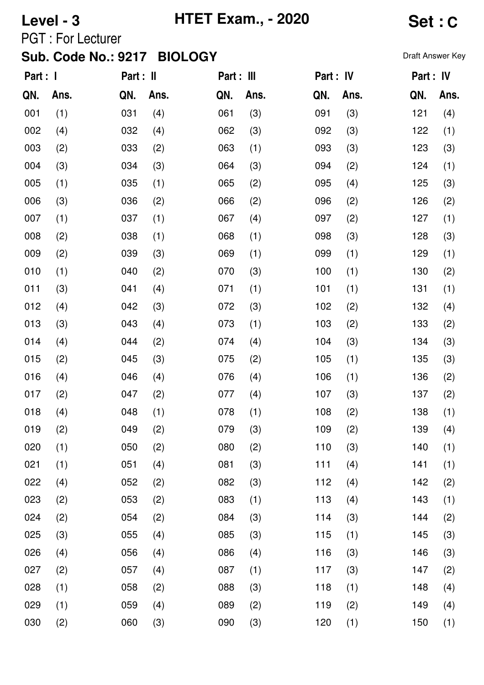# **Level - 3 HTET Exam., - 2020 Set : C**

PGT : For Lecturer

| Part : I |      | Part : II |      | Part : III |      | Part : IV |      | Part : IV |      |
|----------|------|-----------|------|------------|------|-----------|------|-----------|------|
| QN.      | Ans. | QN.       | Ans. | QN.        | Ans. | QN.       | Ans. | QN.       | Ans. |
| 001      | (1)  | 031       | (4)  | 061        | (3)  | 091       | (3)  | 121       | (4)  |
| 002      | (4)  | 032       | (4)  | 062        | (3)  | 092       | (3)  | 122       | (1)  |
| 003      | (2)  | 033       | (2)  | 063        | (1)  | 093       | (3)  | 123       | (3)  |
| 004      | (3)  | 034       | (3)  | 064        | (3)  | 094       | (2)  | 124       | (1)  |
| 005      | (1)  | 035       | (1)  | 065        | (2)  | 095       | (4)  | 125       | (3)  |
| 006      | (3)  | 036       | (2)  | 066        | (2)  | 096       | (2)  | 126       | (2)  |
| 007      | (1)  | 037       | (1)  | 067        | (4)  | 097       | (2)  | 127       | (1)  |
| 008      | (2)  | 038       | (1)  | 068        | (1)  | 098       | (3)  | 128       | (3)  |
| 009      | (2)  | 039       | (3)  | 069        | (1)  | 099       | (1)  | 129       | (1)  |
| 010      | (1)  | 040       | (2)  | 070        | (3)  | 100       | (1)  | 130       | (2)  |
| 011      | (3)  | 041       | (4)  | 071        | (1)  | 101       | (1)  | 131       | (1)  |
| 012      | (4)  | 042       | (3)  | 072        | (3)  | 102       | (2)  | 132       | (4)  |
| 013      | (3)  | 043       | (4)  | 073        | (1)  | 103       | (2)  | 133       | (2)  |
| 014      | (4)  | 044       | (2)  | 074        | (4)  | 104       | (3)  | 134       | (3)  |
| 015      | (2)  | 045       | (3)  | 075        | (2)  | 105       | (1)  | 135       | (3)  |
| 016      | (4)  | 046       | (4)  | 076        | (4)  | 106       | (1)  | 136       | (2)  |
| 017      | (2)  | 047       | (2)  | 077        | (4)  | 107       | (3)  | 137       | (2)  |
| 018      | (4)  | 048       | (1)  | 078        | (1)  | 108       | (2)  | 138       | (1)  |
| 019      | (2)  | 049       | (2)  | 079        | (3)  | 109       | (2)  | 139       | (4)  |
| 020      | (1)  | 050       | (2)  | 080        | (2)  | 110       | (3)  | 140       | (1)  |
| 021      | (1)  | 051       | (4)  | 081        | (3)  | 111       | (4)  | 141       | (1)  |
| 022      | (4)  | 052       | (2)  | 082        | (3)  | 112       | (4)  | 142       | (2)  |
| 023      | (2)  | 053       | (2)  | 083        | (1)  | 113       | (4)  | 143       | (1)  |
| 024      | (2)  | 054       | (2)  | 084        | (3)  | 114       | (3)  | 144       | (2)  |
| 025      | (3)  | 055       | (4)  | 085        | (3)  | 115       | (1)  | 145       | (3)  |
| 026      | (4)  | 056       | (4)  | 086        | (4)  | 116       | (3)  | 146       | (3)  |
| 027      | (2)  | 057       | (4)  | 087        | (1)  | 117       | (3)  | 147       | (2)  |
| 028      | (1)  | 058       | (2)  | 088        | (3)  | 118       | (1)  | 148       | (4)  |
| 029      | (1)  | 059       | (4)  | 089        | (2)  | 119       | (2)  | 149       | (4)  |
| 030      | (2)  | 060       | (3)  | 090        | (3)  | 120       | (1)  | 150       | (1)  |